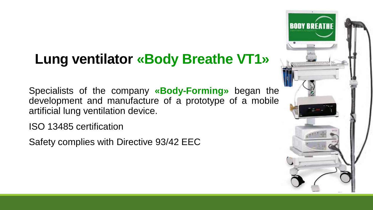#### **Lung ventilator «Body Breathe VT1»**

Specialists of the company **«Body-Forming»** began the development and manufacture of a prototype of a mobile artificial lung ventilation device.

ISO 13485 certification

Safety complies with Directive 93/42 EEC

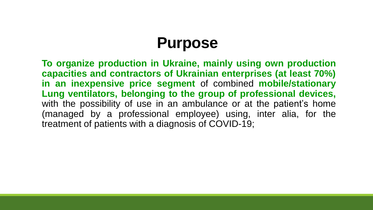#### **Purpose**

**To organize production in Ukraine, mainly using own production capacities and contractors of Ukrainian enterprises (at least 70%) in an inexpensive price segment** of combined **mobile/stationary Lung ventilators, belonging to the group of professional devices,** with the possibility of use in an ambulance or at the patient's home (managed by a professional employee) using, inter alia, for the treatment of patients with a diagnosis of COVID-19;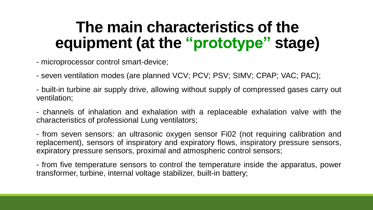### **The main characteristics of the equipment (at the "prototype" stage)**

- microprocessor control smart-device;

- seven ventilation modes (are planned VCV; PCV; PSV; SIMV; CPAP; VAC; PAC);

- built-in turbine air supply drive, allowing without supply of compressed gases carry out ventilation;

- channels of inhalation and exhalation with a replaceable exhalation valve with the characteristics of professional Lung ventilators;

- from seven sensors: an ultrasonic oxygen sensor Fi02 (not requiring calibration and replacement), sensors of inspiratory and expiratory flows, inspiratory pressure sensors, expiratory pressure sensors, proximal and atmospheric control sensors;

- from five temperature sensors to control the temperature inside the apparatus, power transformer, turbine, internal voltage stabilizer, built-in battery;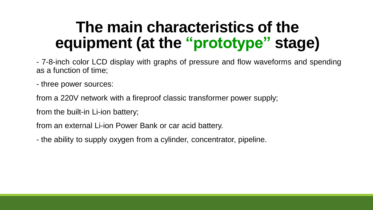## **The main characteristics of the equipment (at the "prototype" stage)**

- 7-8-inch color LCD display with graphs of pressure and flow waveforms and spending as a function of time;

- three power sources:

from a 220V network with a fireproof classic transformer power supply;

from the built-in Li-ion battery;

from an external Li-ion Power Bank or car acid battery.

- the ability to supply oxygen from a cylinder, concentrator, pipeline.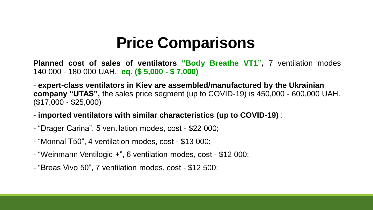## **Price Comparisons**

**Planned cost of sales of ventilators "Body Breathe VT1" ,** 7 ventilation modes 140 000 - 180 000 UAH.; **eq. (\$ 5,000 - \$ 7,000)**

- **expert-class ventilators in Kiev are assembled/manufactured by the Ukrainian company "UTAS",** the sales price segment (up to COVID-19) is 450,000 - 600,000 UAH. (\$17,000 - \$25,000)

- **imported ventilators with similar characteristics (up to COVID-19)** :
- "Drager Carina", 5 ventilation modes, cost \$22 000;
- "Monnal T50", 4 ventilation modes, cost \$13 000;
- "Weinmann Ventilogic +", 6 ventilation modes, cost \$12 000;
- "Breas Vivo 50", 7 ventilation modes, cost \$12 500;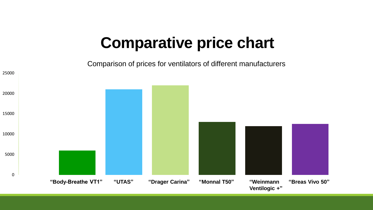#### **Comparative price chart**

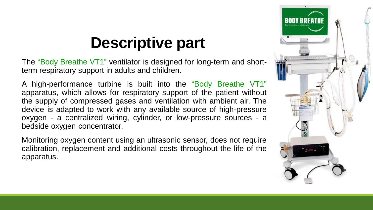## **Descriptive part**

The "Body Breathe VT1" ventilator is designed for long-term and shortterm respiratory support in adults and children.

A high-performance turbine is built into the "Body Breathe VT1" apparatus, which allows for respiratory support of the patient without the supply of compressed gases and ventilation with ambient air. The device is adapted to work with any available source of high-pressure oxygen - a centralized wiring, cylinder, or low-pressure sources - a bedside oxygen concentrator.

Monitoring oxygen content using an ultrasonic sensor, does not require calibration, replacement and additional costs throughout the life of the apparatus.

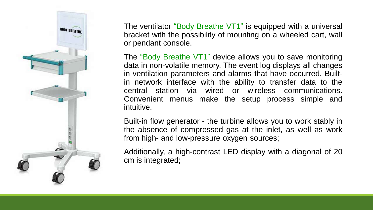

The ventilator "Body Breathe VT1" is equipped with a universal bracket with the possibility of mounting on a wheeled cart, wall or pendant console.

The "Body Breathe VT1" device allows you to save monitoring data in non-volatile memory. The event log displays all changes in ventilation parameters and alarms that have occurred. Builtin network interface with the ability to transfer data to the central station via wired or wireless communications. Convenient menus make the setup process simple and intuitive.

Built-in flow generator - the turbine allows you to work stably in the absence of compressed gas at the inlet, as well as work from high- and low-pressure oxygen sources;

Additionally, a high-contrast LED display with a diagonal of 20 cm is integrated;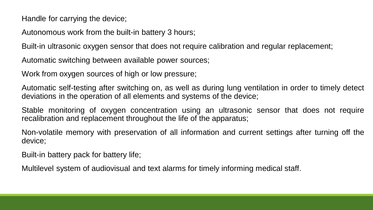Handle for carrying the device;

Autonomous work from the built-in battery 3 hours;

Built-in ultrasonic oxygen sensor that does not require calibration and regular replacement;

Automatic switching between available power sources;

Work from oxygen sources of high or low pressure;

Automatic self-testing after switching on, as well as during lung ventilation in order to timely detect deviations in the operation of all elements and systems of the device;

Stable monitoring of oxygen concentration using an ultrasonic sensor that does not require recalibration and replacement throughout the life of the apparatus;

Non-volatile memory with preservation of all information and current settings after turning off the device;

Built-in battery pack for battery life;

Multilevel system of audiovisual and text alarms for timely informing medical staff.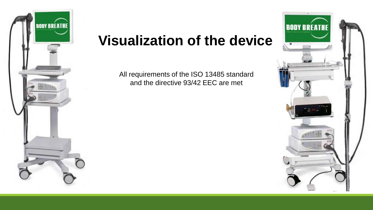

#### **Visualization of the device**

All requirements of the ISO 13485 standard and the directive 93/42 EEC are met

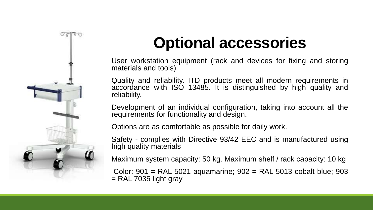

# **Optional accessories**

User workstation equipment (rack and devices for fixing and storing materials and tools)

Quality and reliability. ITD products meet all modern requirements in accordance with ISO 13485. It is distinguished by high quality and reliability.

Development of an individual configuration, taking into account all the requirements for functionality and design.

Options are as comfortable as possible for daily work.

Safety - complies with Directive 93/42 EEC and is manufactured using high quality materials

Maximum system capacity: 50 kg. Maximum shelf / rack capacity: 10 kg

Color: 901 = RAL 5021 aquamarine; 902 = RAL 5013 cobalt blue; 903  $=$  RAL 7035 light gray